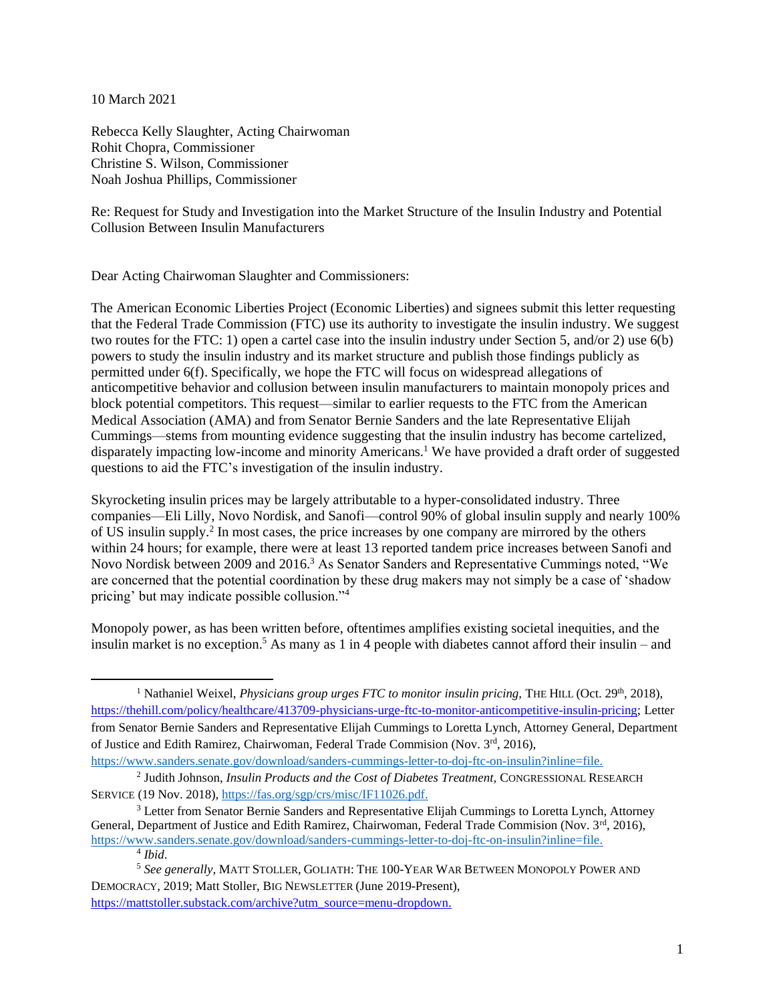10 March 2021

Rebecca Kelly Slaughter, Acting Chairwoman Rohit Chopra, Commissioner Christine S. Wilson, Commissioner Noah Joshua Phillips, Commissioner

Re: Request for Study and Investigation into the Market Structure of the Insulin Industry and Potential Collusion Between Insulin Manufacturers

Dear Acting Chairwoman Slaughter and Commissioners:

The American Economic Liberties Project (Economic Liberties) and signees submit this letter requesting that the Federal Trade Commission (FTC) use its authority to investigate the insulin industry. We suggest two routes for the FTC: 1) open a cartel case into the insulin industry under Section 5, and/or 2) use 6(b) powers to study the insulin industry and its market structure and publish those findings publicly as permitted under 6(f). Specifically, we hope the FTC will focus on widespread allegations of anticompetitive behavior and collusion between insulin manufacturers to maintain monopoly prices and block potential competitors. This request—similar to earlier requests to the FTC from the American Medical Association (AMA) and from Senator Bernie Sanders and the late Representative Elijah Cummings—stems from mounting evidence suggesting that the insulin industry has become cartelized, disparately impacting low-income and minority Americans.<sup>1</sup> We have provided a draft order of suggested questions to aid the FTC's investigation of the insulin industry.

Skyrocketing insulin prices may be largely attributable to a hyper-consolidated industry. Three companies—Eli Lilly, Novo Nordisk, and Sanofi—control 90% of global insulin supply and nearly 100% of US insulin supply.<sup>2</sup> In most cases, the price increases by one company are mirrored by the others within 24 hours; for example, there were at least 13 reported tandem price increases between Sanofi and Novo Nordisk between 2009 and 2016.<sup>3</sup> As Senator Sanders and Representative Cummings noted, "We are concerned that the potential coordination by these drug makers may not simply be a case of 'shadow pricing' but may indicate possible collusion."<sup>4</sup>

Monopoly power, as has been written before, oftentimes amplifies existing societal inequities, and the insulin market is no exception.<sup>5</sup> As many as 1 in 4 people with diabetes cannot afford their insulin – and

<sup>5</sup> *See generally,* MATT STOLLER, GOLIATH: THE 100-YEAR WAR BETWEEN MONOPOLY POWER AND DEMOCRACY, 2019; Matt Stoller, BIG NEWSLETTER (June 2019-Present),

[https://mattstoller.substack.com/archive?utm\\_source=menu-dropdown.](https://mattstoller.substack.com/archive?utm_source=menu-dropdown)

<sup>&</sup>lt;sup>1</sup> Nathaniel Weixel, *Physicians group urges FTC to monitor insulin pricing*, THE HILL (Oct. 29<sup>th</sup>, 2018), [https://thehill.com/policy/healthcare/413709-physicians-urge-ftc-to-monitor-anticompetitive-insulin-pricing;](https://thehill.com/policy/healthcare/413709-physicians-urge-ftc-to-monitor-anticompetitive-insulin-pricing) Letter from Senator Bernie Sanders and Representative Elijah Cummings to Loretta Lynch, Attorney General, Department of Justice and Edith Ramirez, Chairwoman, Federal Trade Commision (Nov. 3rd, 2016),

[https://www.sanders.senate.gov/download/sanders-cummings-letter-to-doj-ftc-on-insulin?inline=file.](https://www.sanders.senate.gov/download/sanders-cummings-letter-to-doj-ftc-on-insulin?inline=file)

<sup>2</sup> Judith Johnson, *Insulin Products and the Cost of Diabetes Treatment,* CONGRESSIONAL RESEARCH SERVICE (19 Nov. 2018), [https://fas.org/sgp/crs/misc/IF11026.pdf.](https://fas.org/sgp/crs/misc/IF11026.pdf)

 $3$  Letter from Senator Bernie Sanders and Representative Elijah Cummings to Loretta Lynch, Attorney General, Department of Justice and Edith Ramirez, Chairwoman, Federal Trade Commision (Nov. 3<sup>rd</sup>, 2016), [https://www.sanders.senate.gov/download/sanders-cummings-letter-to-doj-ftc-on-insulin?inline=file.](https://www.sanders.senate.gov/download/sanders-cummings-letter-to-doj-ftc-on-insulin?inline=file)

<sup>4</sup> *Ibid*.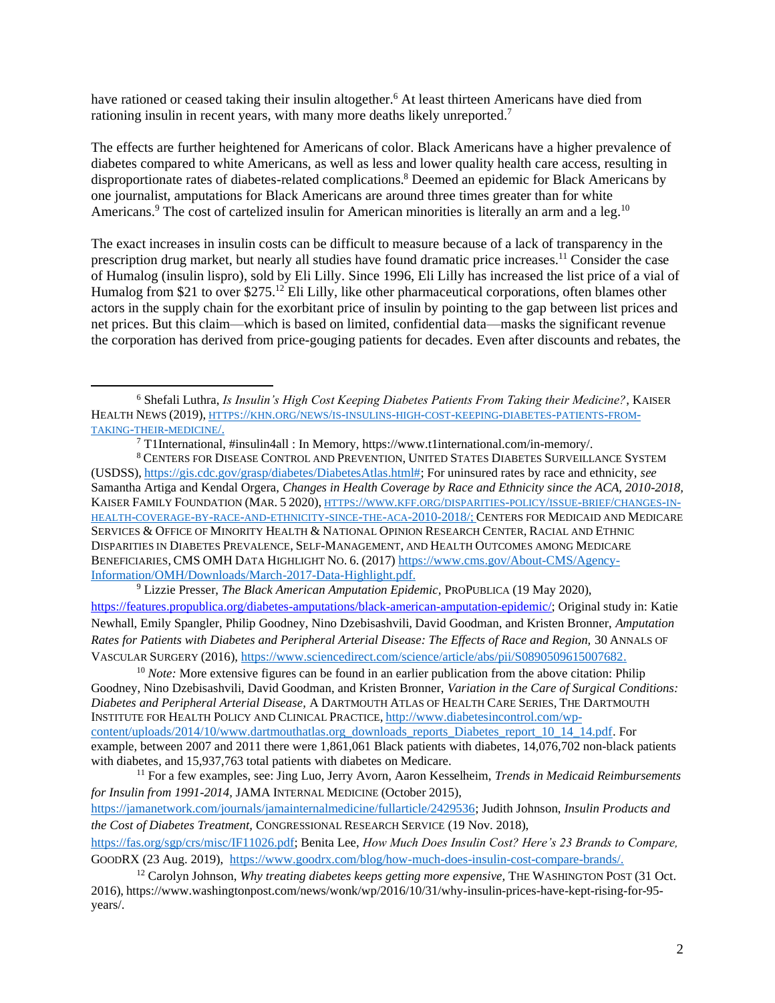have rationed or ceased taking their insulin altogether.<sup>6</sup> At least thirteen Americans have died from rationing insulin in recent years, with many more deaths likely unreported.<sup>7</sup>

The effects are further heightened for Americans of color. Black Americans have a higher prevalence of diabetes compared to white Americans, as well as less and lower quality health care access, resulting in disproportionate rates of diabetes-related complications.<sup>8</sup> Deemed an epidemic for Black Americans by one journalist, amputations for Black Americans are around three times greater than for white Americans.<sup>9</sup> The cost of cartelized insulin for American minorities is literally an arm and a leg.<sup>10</sup>

The exact increases in insulin costs can be difficult to measure because of a lack of transparency in the prescription drug market, but nearly all studies have found dramatic price increases.<sup>11</sup> Consider the case of Humalog (insulin lispro), sold by Eli Lilly. Since 1996, Eli Lilly has increased the list price of a vial of Humalog from \$21 to over \$275.<sup>12</sup> Eli Lilly, like other pharmaceutical corporations, often blames other actors in the supply chain for the exorbitant price of insulin by pointing to the gap between list prices and net prices. But this claim—which is based on limited, confidential data—masks the significant revenue the corporation has derived from price-gouging patients for decades. Even after discounts and rebates, the

 $7$  T1International, #insulin4all : In Memory, https://www.t1international.com/in-memory/.

<sup>8</sup> CENTERS FOR DISEASE CONTROL AND PREVENTION, UNITED STATES DIABETES SURVEILLANCE SYSTEM (USDSS), [https://gis.cdc.gov/grasp/diabetes/DiabetesAtlas.html#;](https://gis.cdc.gov/grasp/diabetes/DiabetesAtlas.html) For uninsured rates by race and ethnicity, *see* Samantha Artiga and Kendal Orgera, *Changes in Health Coverage by Race and Ethnicity since the ACA, 2010-2018,*  KAISER FAMILY FOUNDATION (MAR. 5 2020), HTTPS://WWW.KFF.ORG/[DISPARITIES](https://www.kff.org/disparities-policy/issue-brief/changes-in-health-coverage-by-race-and-ethnicity-since-the-aca-2010-2018/)-POLICY/ISSUE-BRIEF/CHANGES-IN-HEALTH-COVERAGE-BY-RACE-AND-ETHNICITY-SINCE-THE-ACA[-2010-2018/;](https://www.kff.org/disparities-policy/issue-brief/changes-in-health-coverage-by-race-and-ethnicity-since-the-aca-2010-2018/) CENTERS FOR MEDICAID AND MEDICARE SERVICES & OFFICE OF MINORITY HEALTH & NATIONAL OPINION RESEARCH CENTER, RACIAL AND ETHNIC DISPARITIES IN DIABETES PREVALENCE, SELF-MANAGEMENT, AND HEALTH OUTCOMES AMONG MEDICARE BENEFICIARIES, CMS OMH DATA HIGHLIGHT NO. 6. (2017) [https://www.cms.gov/About-CMS/Agency-](https://www.cms.gov/About-CMS/Agency-Information/OMH/Downloads/March-2017-Data-Highlight.pdf)[Information/OMH/Downloads/March-2017-Data-Highlight.pdf.](https://www.cms.gov/About-CMS/Agency-Information/OMH/Downloads/March-2017-Data-Highlight.pdf)

<sup>9</sup> Lizzie Presser, *The Black American Amputation Epidemic,* PROPUBLICA (19 May 2020), [https://features.propublica.org/diabetes-amputations/black-american-amputation-epidemic/;](https://features.propublica.org/diabetes-amputations/black-american-amputation-epidemic/) Original study in: Katie Newhall, Emily Spangler, Philip Goodney, Nino Dzebisashvili, David Goodman, and Kristen Bronner, *Amputation Rates for Patients with Diabetes and Peripheral Arterial Disease: The Effects of Race and Region,* 30 ANNALS OF VASCULAR SURGERY (2016)*,* [https://www.sciencedirect.com/science/article/abs/pii/S0890509615007682.](https://www.sciencedirect.com/science/article/abs/pii/S0890509615007682)

<sup>10</sup> *Note:* More extensive figures can be found in an earlier publication from the above citation: Philip Goodney, Nino Dzebisashvili, David Goodman, and Kristen Bronner, *Variation in the Care of Surgical Conditions: Diabetes and Peripheral Arterial Disease,* A DARTMOUTH ATLAS OF HEALTH CARE SERIES, THE DARTMOUTH INSTITUTE FOR HEALTH POLICY AND CLINICAL PRACTICE, [http://www.diabetesincontrol.com/wp](http://www.diabetesincontrol.com/wp-content/uploads/2014/10/www.dartmouthatlas.org_downloads_reports_Diabetes_report_10_14_14.pdf)[content/uploads/2014/10/www.dartmouthatlas.org\\_downloads\\_reports\\_Diabetes\\_report\\_10\\_14\\_14.pdf.](http://www.diabetesincontrol.com/wp-content/uploads/2014/10/www.dartmouthatlas.org_downloads_reports_Diabetes_report_10_14_14.pdf) For example, between 2007 and 2011 there were 1,861,061 Black patients with diabetes, 14,076,702 non-black patients with diabetes, and 15,937,763 total patients with diabetes on Medicare.

<sup>11</sup> For a few examples, see: Jing Luo, Jerry Avorn, Aaron Kesselheim, *Trends in Medicaid Reimbursements for Insulin from 1991-2014,* JAMA INTERNAL MEDICINE (October 2015), [https://jamanetwork.com/journals/jamainternalmedicine/fullarticle/2429536;](https://jamanetwork.com/journals/jamainternalmedicine/fullarticle/2429536) Judith Johnson, *Insulin Products and the Cost of Diabetes Treatment,* CONGRESSIONAL RESEARCH SERVICE (19 Nov. 2018),

[https://fas.org/sgp/crs/misc/IF11026.pdf;](https://fas.org/sgp/crs/misc/IF11026.pdf) Benita Lee, *How Much Does Insulin Cost? Here's 23 Brands to Compare,*  GOODRX (23 Aug. 2019), [https://www.goodrx.com/blog/how-much-does-insulin-cost-compare-brands/.](https://www.goodrx.com/blog/how-much-does-insulin-cost-compare-brands/)

<sup>6</sup> Shefali Luthra, *Is Insulin's High Cost Keeping Diabetes Patients From Taking their Medicine?*, KAISER HEALTH NEWS (2019), HTTPS://KHN.ORG/NEWS/IS-INSULINS-HIGH-COST-KEEPING-[DIABETES](https://khn.org/news/is-insulins-high-cost-keeping-diabetes-patients-from-taking-their-medicine/)-PATIENTS-FROM-TAKING-THEIR-[MEDICINE](https://khn.org/news/is-insulins-high-cost-keeping-diabetes-patients-from-taking-their-medicine/)/.

<sup>&</sup>lt;sup>12</sup> Carolyn Johnson, *Why treating diabetes keeps getting more expensive*, THE WASHINGTON POST (31 Oct. 2016), https://www.washingtonpost.com/news/wonk/wp/2016/10/31/why-insulin-prices-have-kept-rising-for-95 years/.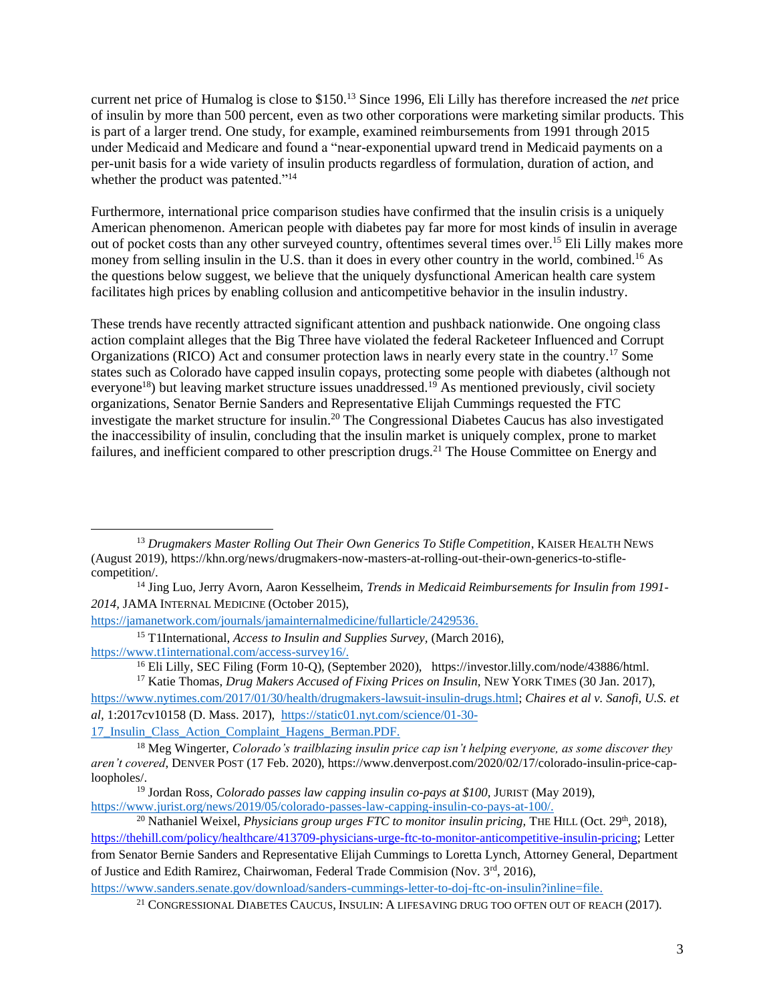current net price of Humalog is close to \$150.<sup>13</sup> Since 1996, Eli Lilly has therefore increased the *net* price of insulin by more than 500 percent, even as two other corporations were marketing similar products. This is part of a larger trend. One study, for example, examined reimbursements from 1991 through 2015 under Medicaid and Medicare and found a "near-exponential upward trend in Medicaid payments on a per-unit basis for a wide variety of insulin products regardless of formulation, duration of action, and whether the product was patented."<sup>14</sup>

Furthermore, international price comparison studies have confirmed that the insulin crisis is a uniquely American phenomenon. American people with diabetes pay far more for most kinds of insulin in average out of pocket costs than any other surveyed country, oftentimes several times over.<sup>15</sup> Eli Lilly makes more money from selling insulin in the U.S. than it does in every other country in the world, combined.<sup>16</sup> As the questions below suggest, we believe that the uniquely dysfunctional American health care system facilitates high prices by enabling collusion and anticompetitive behavior in the insulin industry.

These trends have recently attracted significant attention and pushback nationwide. One ongoing class action complaint alleges that the Big Three have violated the federal Racketeer Influenced and Corrupt Organizations (RICO) Act and consumer protection laws in nearly every state in the country.<sup>17</sup> Some states such as Colorado have capped insulin copays, protecting some people with diabetes (although not everyone<sup>18</sup>) but leaving market structure issues unaddressed.<sup>19</sup> As mentioned previously, civil society organizations, Senator Bernie Sanders and Representative Elijah Cummings requested the FTC investigate the market structure for insulin.<sup>20</sup> The Congressional Diabetes Caucus has also investigated the inaccessibility of insulin, concluding that the insulin market is uniquely complex, prone to market failures, and inefficient compared to other prescription drugs.<sup>21</sup> The House Committee on Energy and

[https://www.sanders.senate.gov/download/sanders-cummings-letter-to-doj-ftc-on-insulin?inline=file.](https://www.sanders.senate.gov/download/sanders-cummings-letter-to-doj-ftc-on-insulin?inline=file)

<sup>&</sup>lt;sup>13</sup> Drugmakers Master Rolling Out Their Own Generics To Stifle Competition, KAISER HEALTH NEWS (August 2019), https://khn.org/news/drugmakers-now-masters-at-rolling-out-their-own-generics-to-stiflecompetition/.

<sup>14</sup> Jing Luo, Jerry Avorn, Aaron Kesselheim, *Trends in Medicaid Reimbursements for Insulin from 1991- 2014,* JAMA INTERNAL MEDICINE (October 2015),

[https://jamanetwork.com/journals/jamainternalmedicine/fullarticle/2429536.](https://jamanetwork.com/journals/jamainternalmedicine/fullarticle/2429536)

<sup>15</sup> T1International, *Access to Insulin and Supplies Survey,* (March 2016), [https://www.t1international.com/access-survey16/.](https://www.t1international.com/access-survey16/)

<sup>&</sup>lt;sup>16</sup> Eli Lilly, SEC Filing (Form 10-Q), (September 2020), https://investor.lilly.com/node/43886/html.

<sup>&</sup>lt;sup>17</sup> Katie Thomas, *Drug Makers Accused of Fixing Prices on Insulin*, NEW YORK TIMES (30 Jan. 2017), [https://www.nytimes.com/2017/01/30/health/drugmakers-lawsuit-insulin-drugs.html;](https://www.nytimes.com/2017/01/30/health/drugmakers-lawsuit-insulin-drugs.html) *Chaires et al v. Sanofi, U.S. et al,* 1:2017cv10158 (D. Mass. 2017), [https://static01.nyt.com/science/01-30-](https://static01.nyt.com/science/01-30-17_Insulin_Class_Action_Complaint_Hagens_Berman.PDF) [17\\_Insulin\\_Class\\_Action\\_Complaint\\_Hagens\\_Berman.PDF.](https://static01.nyt.com/science/01-30-17_Insulin_Class_Action_Complaint_Hagens_Berman.PDF)

<sup>18</sup> Meg Wingerter, *Colorado's trailblazing insulin price cap isn't helping everyone, as some discover they aren't covered*, DENVER POST (17 Feb. 2020), https://www.denverpost.com/2020/02/17/colorado-insulin-price-caploopholes/.

<sup>19</sup> Jordan Ross, *Colorado passes law capping insulin co-pays at \$100,* JURIST (May 2019), [https://www.jurist.org/news/2019/05/colorado-passes-law-capping-insulin-co-pays-at-100/.](https://www.jurist.org/news/2019/05/colorado-passes-law-capping-insulin-co-pays-at-100/)

<sup>&</sup>lt;sup>20</sup> Nathaniel Weixel, *Physicians group urges FTC to monitor insulin pricing*, THE HILL (Oct. 29<sup>th</sup>, 2018), [https://thehill.com/policy/healthcare/413709-physicians-urge-ftc-to-monitor-anticompetitive-insulin-pricing;](https://thehill.com/policy/healthcare/413709-physicians-urge-ftc-to-monitor-anticompetitive-insulin-pricing) Letter from Senator Bernie Sanders and Representative Elijah Cummings to Loretta Lynch, Attorney General, Department of Justice and Edith Ramirez, Chairwoman, Federal Trade Commision (Nov. 3rd, 2016),

<sup>21</sup> CONGRESSIONAL DIABETES CAUCUS, INSULIN: A LIFESAVING DRUG TOO OFTEN OUT OF REACH (2017).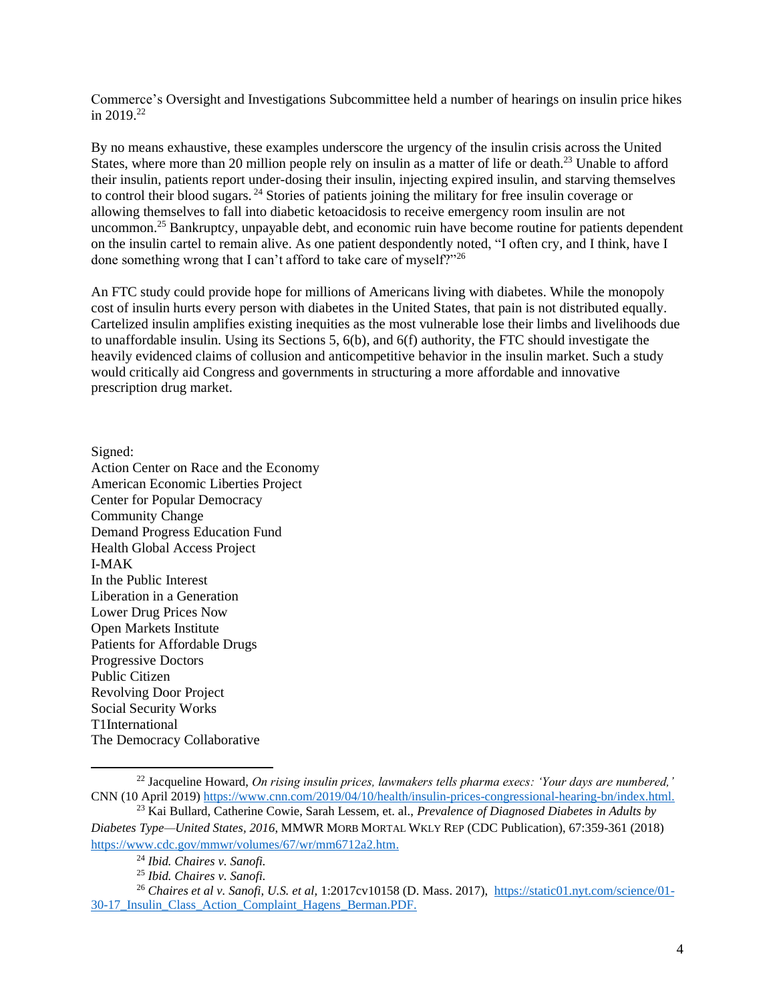Commerce's Oversight and Investigations Subcommittee held a number of hearings on insulin price hikes in  $2019^{22}$ 

By no means exhaustive, these examples underscore the urgency of the insulin crisis across the United States, where more than 20 million people rely on insulin as a matter of life or death.<sup>23</sup> Unable to afford their insulin, patients report under-dosing their insulin, injecting expired insulin, and starving themselves to control their blood sugars. <sup>24</sup> Stories of patients joining the military for free insulin coverage or allowing themselves to fall into diabetic ketoacidosis to receive emergency room insulin are not uncommon.<sup>25</sup> Bankruptcy, unpayable debt, and economic ruin have become routine for patients dependent on the insulin cartel to remain alive. As one patient despondently noted, "I often cry, and I think, have I done something wrong that I can't afford to take care of myself?"<sup>26</sup>

An FTC study could provide hope for millions of Americans living with diabetes. While the monopoly cost of insulin hurts every person with diabetes in the United States, that pain is not distributed equally. Cartelized insulin amplifies existing inequities as the most vulnerable lose their limbs and livelihoods due to unaffordable insulin. Using its Sections 5, 6(b), and 6(f) authority, the FTC should investigate the heavily evidenced claims of collusion and anticompetitive behavior in the insulin market. Such a study would critically aid Congress and governments in structuring a more affordable and innovative prescription drug market.

Signed: Action Center on Race and the Economy American Economic Liberties Project Center for Popular Democracy Community Change Demand Progress Education Fund Health Global Access Project I-MAK In the Public Interest Liberation in a Generation Lower Drug Prices Now Open Markets Institute Patients for Affordable Drugs Progressive Doctors Public Citizen Revolving Door Project Social Security Works T1International The Democracy Collaborative

<sup>22</sup> Jacqueline Howard, *On rising insulin prices, lawmakers tells pharma execs: 'Your days are numbered,'* CNN (10 April 2019) [https://www.cnn.com/2019/04/10/health/insulin-prices-congressional-hearing-bn/index.html.](https://www.cnn.com/2019/04/10/health/insulin-prices-congressional-hearing-bn/index.html)

<sup>23</sup> Kai Bullard, Catherine Cowie, Sarah Lessem, et. al., *Prevalence of Diagnosed Diabetes in Adults by Diabetes Type—United States, 2016*, MMWR MORB MORTAL WKLY REP (CDC Publication), 67:359-361 (2018) [https://www.cdc.gov/mmwr/volumes/67/wr/mm6712a2.htm.](https://www.cdc.gov/mmwr/volumes/67/wr/mm6712a2.htm)

<sup>24</sup> *Ibid. Chaires v. Sanofi.*

<sup>25</sup> *Ibid. Chaires v. Sanofi.*

<sup>26</sup> *Chaires et al v. Sanofi, U.S. et al,* 1:2017cv10158 (D. Mass. 2017), [https://static01.nyt.com/science/01-](https://static01.nyt.com/science/01-30-17_Insulin_Class_Action_Complaint_Hagens_Berman.PDF) [30-17\\_Insulin\\_Class\\_Action\\_Complaint\\_Hagens\\_Berman.PDF.](https://static01.nyt.com/science/01-30-17_Insulin_Class_Action_Complaint_Hagens_Berman.PDF)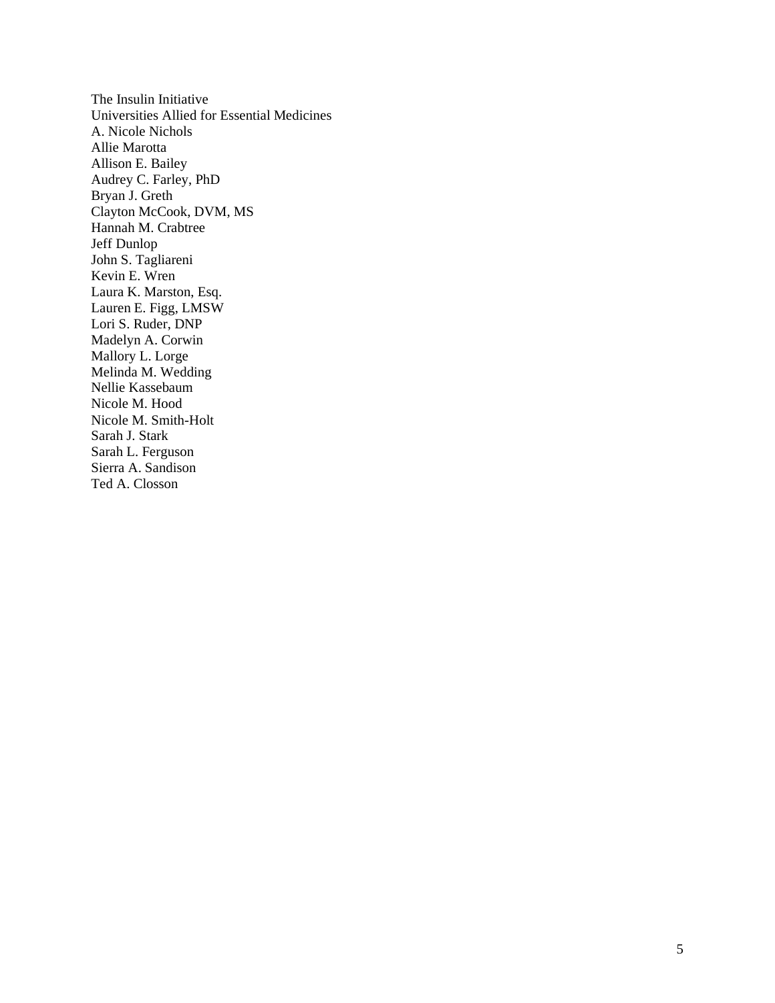The Insulin Initiative Universities Allied for Essential Medicines A. Nicole Nichols Allie Marotta Allison E. Bailey Audrey C. Farley, PhD Bryan J. Greth Clayton McCook, DVM, MS Hannah M. Crabtree Jeff Dunlop John S. Tagliareni Kevin E. Wren Laura K. Marston, Esq. Lauren E. Figg, LMSW Lori S. Ruder, DNP Madelyn A. Corwin Mallory L. Lorge Melinda M. Wedding Nellie Kassebaum Nicole M. Hood Nicole M. Smith-Holt Sarah J. Stark Sarah L. Ferguson Sierra A. Sandison Ted A. Closson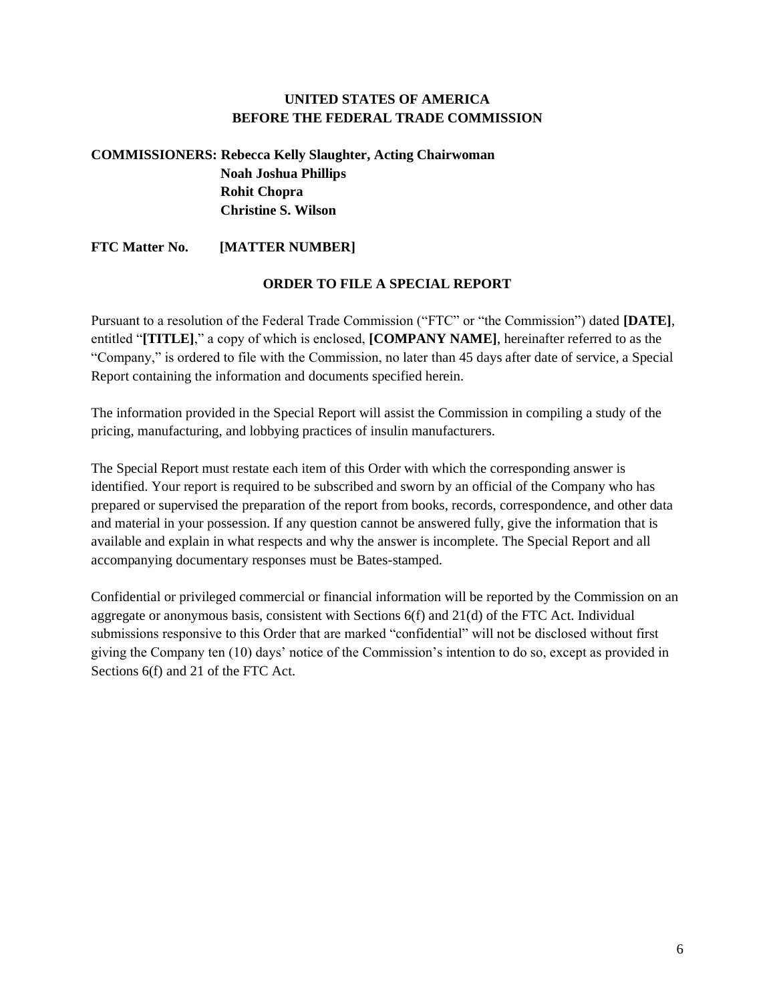### **UNITED STATES OF AMERICA BEFORE THE FEDERAL TRADE COMMISSION**

# **COMMISSIONERS: Rebecca Kelly Slaughter, Acting Chairwoman Noah Joshua Phillips Rohit Chopra Christine S. Wilson**

**FTC Matter No. [MATTER NUMBER]**

#### **ORDER TO FILE A SPECIAL REPORT**

Pursuant to a resolution of the Federal Trade Commission ("FTC" or "the Commission") dated **[DATE]**, entitled "**[TITLE]**," a copy of which is enclosed, **[COMPANY NAME]**, hereinafter referred to as the "Company," is ordered to file with the Commission, no later than 45 days after date of service, a Special Report containing the information and documents specified herein.

The information provided in the Special Report will assist the Commission in compiling a study of the pricing, manufacturing, and lobbying practices of insulin manufacturers.

The Special Report must restate each item of this Order with which the corresponding answer is identified. Your report is required to be subscribed and sworn by an official of the Company who has prepared or supervised the preparation of the report from books, records, correspondence, and other data and material in your possession. If any question cannot be answered fully, give the information that is available and explain in what respects and why the answer is incomplete. The Special Report and all accompanying documentary responses must be Bates-stamped.

Confidential or privileged commercial or financial information will be reported by the Commission on an aggregate or anonymous basis, consistent with Sections 6(f) and 21(d) of the FTC Act. Individual submissions responsive to this Order that are marked "confidential" will not be disclosed without first giving the Company ten (10) days' notice of the Commission's intention to do so, except as provided in Sections 6(f) and 21 of the FTC Act.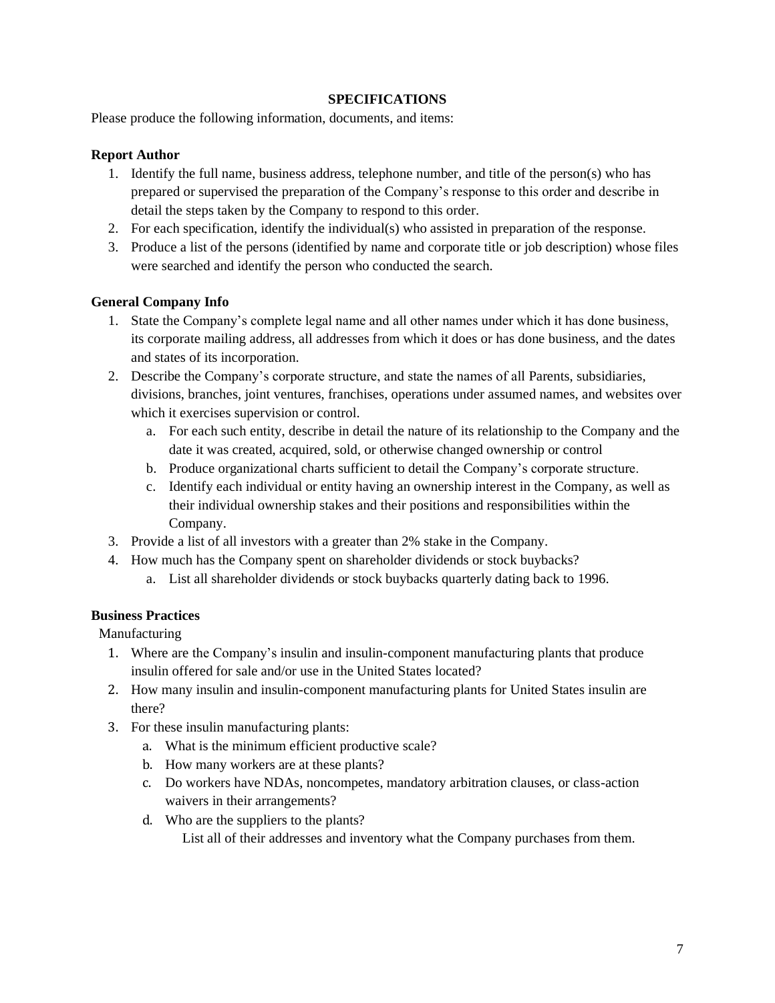#### **SPECIFICATIONS**

Please produce the following information, documents, and items:

### **Report Author**

- 1. Identify the full name, business address, telephone number, and title of the person(s) who has prepared or supervised the preparation of the Company's response to this order and describe in detail the steps taken by the Company to respond to this order.
- 2. For each specification, identify the individual(s) who assisted in preparation of the response.
- 3. Produce a list of the persons (identified by name and corporate title or job description) whose files were searched and identify the person who conducted the search.

#### **General Company Info**

- 1. State the Company's complete legal name and all other names under which it has done business, its corporate mailing address, all addresses from which it does or has done business, and the dates and states of its incorporation.
- 2. Describe the Company's corporate structure, and state the names of all Parents, subsidiaries, divisions, branches, joint ventures, franchises, operations under assumed names, and websites over which it exercises supervision or control.
	- a. For each such entity, describe in detail the nature of its relationship to the Company and the date it was created, acquired, sold, or otherwise changed ownership or control
	- b. Produce organizational charts sufficient to detail the Company's corporate structure.
	- c. Identify each individual or entity having an ownership interest in the Company, as well as their individual ownership stakes and their positions and responsibilities within the Company.
- 3. Provide a list of all investors with a greater than 2% stake in the Company.
- 4. How much has the Company spent on shareholder dividends or stock buybacks? a. List all shareholder dividends or stock buybacks quarterly dating back to 1996.

## **Business Practices**

Manufacturing

- 1. Where are the Company's insulin and insulin-component manufacturing plants that produce insulin offered for sale and/or use in the United States located?
- 2. How many insulin and insulin-component manufacturing plants for United States insulin are there?
- 3. For these insulin manufacturing plants:
	- a. What is the minimum efficient productive scale?
	- b. How many workers are at these plants?
	- c. Do workers have NDAs, noncompetes, mandatory arbitration clauses, or class-action waivers in their arrangements?
	- d. Who are the suppliers to the plants? List all of their addresses and inventory what the Company purchases from them.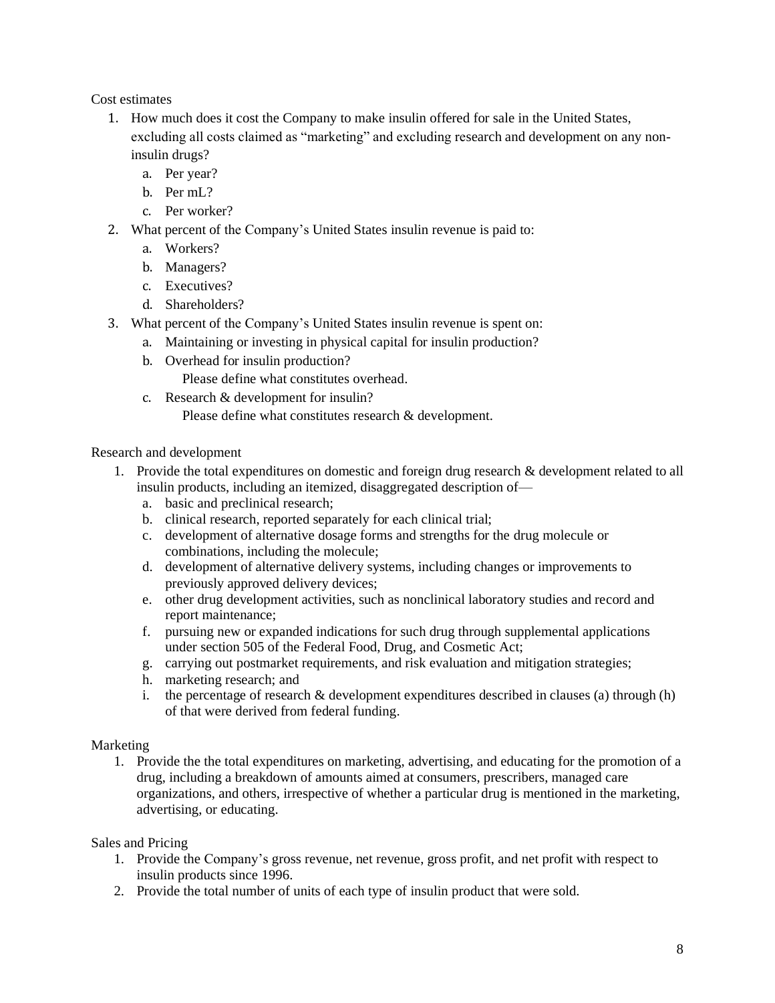Cost estimates

- 1. How much does it cost the Company to make insulin offered for sale in the United States, excluding all costs claimed as "marketing" and excluding research and development on any noninsulin drugs?
	- a. Per year?
	- b. Per mL?
	- c. Per worker?
- 2. What percent of the Company's United States insulin revenue is paid to:
	- a. Workers?
	- b. Managers?
	- c. Executives?
	- d. Shareholders?
- 3. What percent of the Company's United States insulin revenue is spent on:
	- a. Maintaining or investing in physical capital for insulin production?
	- b. Overhead for insulin production?

Please define what constitutes overhead.

c. Research & development for insulin?

Please define what constitutes research & development.

#### Research and development

- 1. Provide the total expenditures on domestic and foreign drug research & development related to all insulin products, including an itemized, disaggregated description of
	- a. basic and preclinical research;
	- b. clinical research, reported separately for each clinical trial;
	- c. development of alternative dosage forms and strengths for the drug molecule or combinations, including the molecule;
	- d. development of alternative delivery systems, including changes or improvements to previously approved delivery devices;
	- e. other drug development activities, such as nonclinical laboratory studies and record and report maintenance;
	- f. pursuing new or expanded indications for such drug through supplemental applications under section 505 of the Federal Food, Drug, and Cosmetic Act;
	- g. carrying out postmarket requirements, and risk evaluation and mitigation strategies;
	- h. marketing research; and
	- i. the percentage of research  $\&$  development expenditures described in clauses (a) through (h) of that were derived from federal funding.

## Marketing

1. Provide the the total expenditures on marketing, advertising, and educating for the promotion of a drug, including a breakdown of amounts aimed at consumers, prescribers, managed care organizations, and others, irrespective of whether a particular drug is mentioned in the marketing, advertising, or educating.

Sales and Pricing

- 1. Provide the Company's gross revenue, net revenue, gross profit, and net profit with respect to insulin products since 1996.
- 2. Provide the total number of units of each type of insulin product that were sold.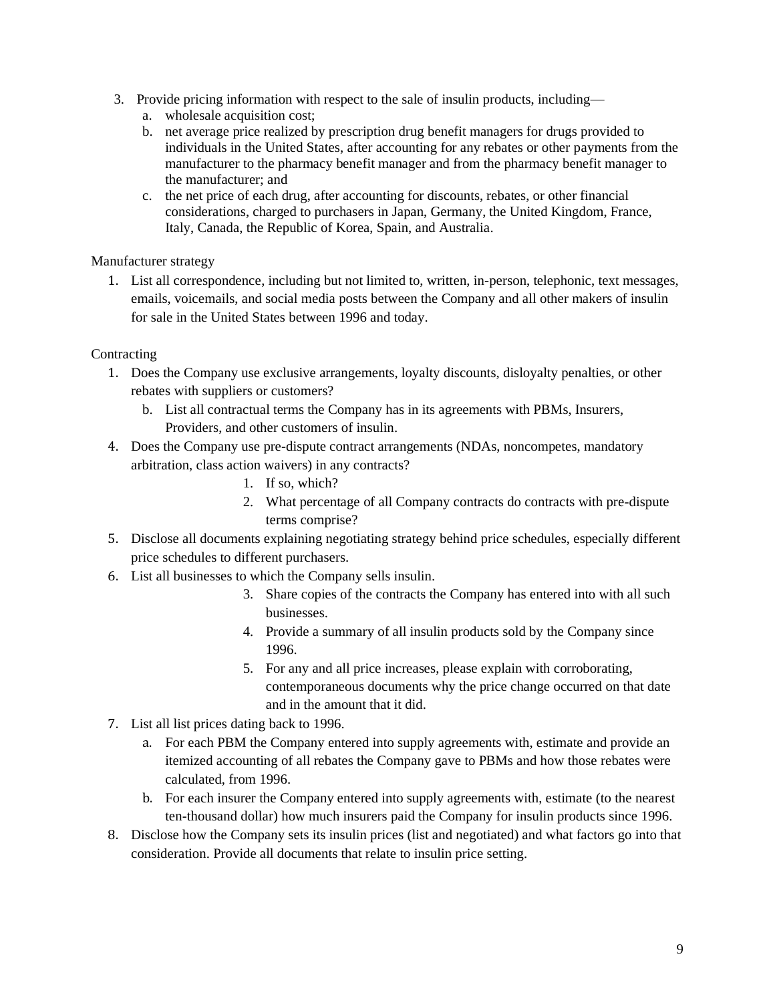- 3. Provide pricing information with respect to the sale of insulin products, including
	- a. wholesale acquisition cost;
	- b. net average price realized by prescription drug benefit managers for drugs provided to individuals in the United States, after accounting for any rebates or other payments from the manufacturer to the pharmacy benefit manager and from the pharmacy benefit manager to the manufacturer; and
	- c. the net price of each drug, after accounting for discounts, rebates, or other financial considerations, charged to purchasers in Japan, Germany, the United Kingdom, France, Italy, Canada, the Republic of Korea, Spain, and Australia.

Manufacturer strategy

1. List all correspondence, including but not limited to, written, in-person, telephonic, text messages, emails, voicemails, and social media posts between the Company and all other makers of insulin for sale in the United States between 1996 and today.

#### Contracting

- 1. Does the Company use exclusive arrangements, loyalty discounts, disloyalty penalties, or other rebates with suppliers or customers?
	- b. List all contractual terms the Company has in its agreements with PBMs, Insurers, Providers, and other customers of insulin.
- 4. Does the Company use pre-dispute contract arrangements (NDAs, noncompetes, mandatory arbitration, class action waivers) in any contracts?
	- 1. If so, which?
	- 2. What percentage of all Company contracts do contracts with pre-dispute terms comprise?
- 5. Disclose all documents explaining negotiating strategy behind price schedules, especially different price schedules to different purchasers.
- 6. List all businesses to which the Company sells insulin.
	- 3. Share copies of the contracts the Company has entered into with all such businesses.
	- 4. Provide a summary of all insulin products sold by the Company since 1996.
	- 5. For any and all price increases, please explain with corroborating, contemporaneous documents why the price change occurred on that date and in the amount that it did.
- 7. List all list prices dating back to 1996.
	- a. For each PBM the Company entered into supply agreements with, estimate and provide an itemized accounting of all rebates the Company gave to PBMs and how those rebates were calculated, from 1996.
	- b. For each insurer the Company entered into supply agreements with, estimate (to the nearest ten-thousand dollar) how much insurers paid the Company for insulin products since 1996.
- 8. Disclose how the Company sets its insulin prices (list and negotiated) and what factors go into that consideration. Provide all documents that relate to insulin price setting.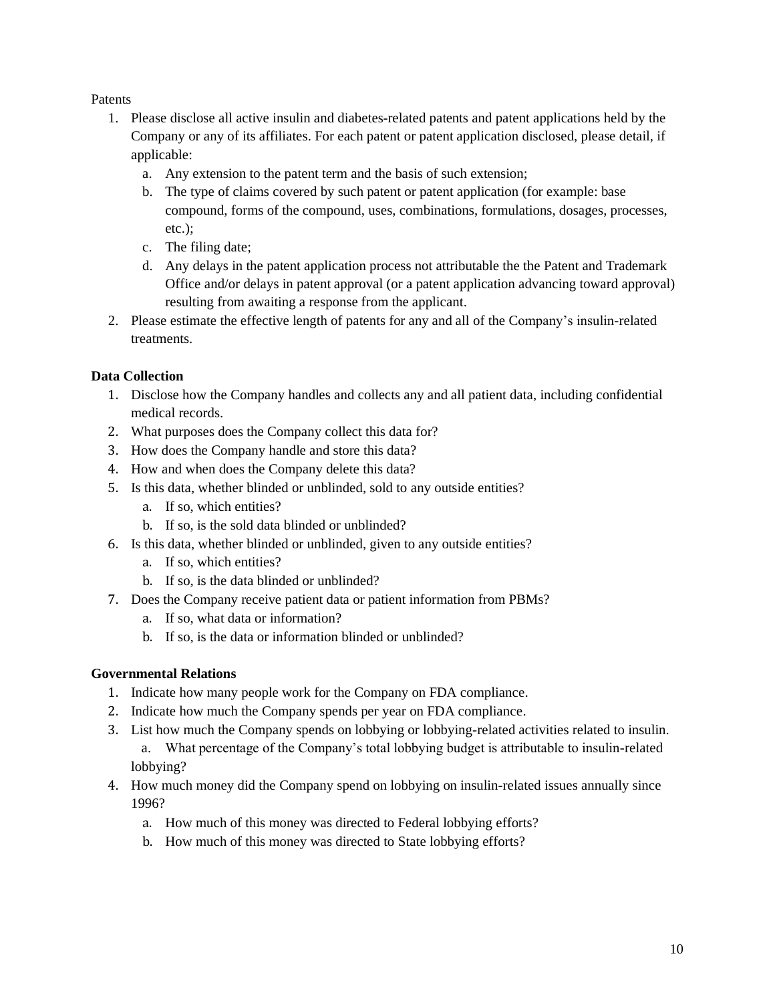Patents

- 1. Please disclose all active insulin and diabetes-related patents and patent applications held by the Company or any of its affiliates. For each patent or patent application disclosed, please detail, if applicable:
	- a. Any extension to the patent term and the basis of such extension;
	- b. The type of claims covered by such patent or patent application (for example: base compound, forms of the compound, uses, combinations, formulations, dosages, processes, etc.);
	- c. The filing date;
	- d. Any delays in the patent application process not attributable the the Patent and Trademark Office and/or delays in patent approval (or a patent application advancing toward approval) resulting from awaiting a response from the applicant.
- 2. Please estimate the effective length of patents for any and all of the Company's insulin-related treatments.

## **Data Collection**

- 1. Disclose how the Company handles and collects any and all patient data, including confidential medical records.
- 2. What purposes does the Company collect this data for?
- 3. How does the Company handle and store this data?
- 4. How and when does the Company delete this data?
- 5. Is this data, whether blinded or unblinded, sold to any outside entities?
	- a. If so, which entities?
	- b. If so, is the sold data blinded or unblinded?
- 6. Is this data, whether blinded or unblinded, given to any outside entities?
	- a. If so, which entities?
	- b. If so, is the data blinded or unblinded?
- 7. Does the Company receive patient data or patient information from PBMs?
	- a. If so, what data or information?
	- b. If so, is the data or information blinded or unblinded?

# **Governmental Relations**

- 1. Indicate how many people work for the Company on FDA compliance.
- 2. Indicate how much the Company spends per year on FDA compliance.
- 3. List how much the Company spends on lobbying or lobbying-related activities related to insulin. a. What percentage of the Company's total lobbying budget is attributable to insulin-related lobbying?
- 4. How much money did the Company spend on lobbying on insulin-related issues annually since 1996?
	- a. How much of this money was directed to Federal lobbying efforts?
	- b. How much of this money was directed to State lobbying efforts?